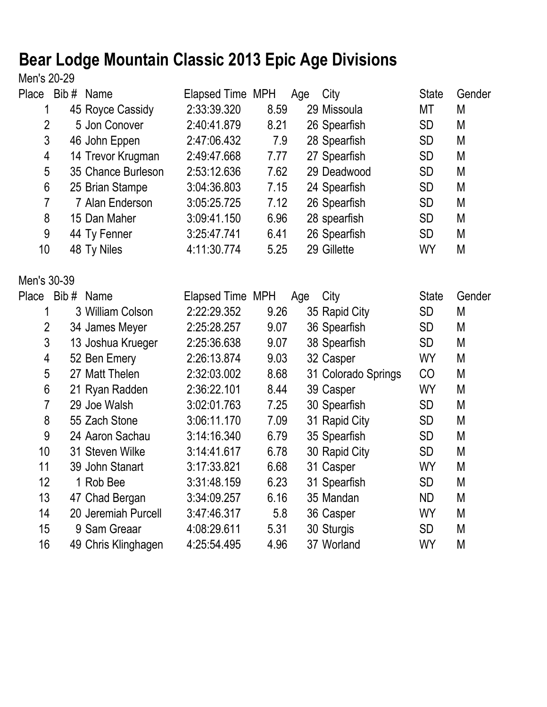## **Bear Lodge Mountain Classic 2013 Epic Age Divisions**

Men's 20-29

| Place          | Bib# Name |                     | Elapsed Time MPH |      | Age | City                | <b>State</b> | Gender |
|----------------|-----------|---------------------|------------------|------|-----|---------------------|--------------|--------|
| 1              |           | 45 Royce Cassidy    | 2:33:39.320      | 8.59 |     | 29 Missoula         | MT           | M      |
| $\overline{2}$ |           | 5 Jon Conover       | 2:40:41.879      | 8.21 |     | 26 Spearfish        | <b>SD</b>    | M      |
| 3              |           | 46 John Eppen       | 2:47:06.432      | 7.9  |     | 28 Spearfish        | <b>SD</b>    | M      |
| 4              |           | 14 Trevor Krugman   | 2:49:47.668      | 7.77 |     | 27 Spearfish        | <b>SD</b>    | M      |
| 5              |           | 35 Chance Burleson  | 2:53:12.636      | 7.62 |     | 29 Deadwood         | <b>SD</b>    | M      |
| 6              |           | 25 Brian Stampe     | 3:04:36.803      | 7.15 |     | 24 Spearfish        | <b>SD</b>    | M      |
| $\overline{7}$ |           | 7 Alan Enderson     | 3:05:25.725      | 7.12 |     | 26 Spearfish        | <b>SD</b>    | M      |
| 8              |           | 15 Dan Maher        | 3:09:41.150      | 6.96 |     | 28 spearfish        | <b>SD</b>    | M      |
| 9              |           | 44 Ty Fenner        | 3:25:47.741      | 6.41 |     | 26 Spearfish        | <b>SD</b>    | M      |
| 10             |           | 48 Ty Niles         | 4:11:30.774      | 5.25 |     | 29 Gillette         | <b>WY</b>    | M      |
| Men's 30-39    |           |                     |                  |      |     |                     |              |        |
| Place Bib#     |           | Name                | Elapsed Time MPH |      | Age | City                | <b>State</b> | Gender |
| 1              |           | 3 William Colson    | 2:22:29.352      | 9.26 |     | 35 Rapid City       | <b>SD</b>    | M      |
| $\overline{2}$ |           | 34 James Meyer      | 2:25:28.257      | 9.07 |     | 36 Spearfish        | <b>SD</b>    | M      |
| 3              |           | 13 Joshua Krueger   | 2:25:36.638      | 9.07 |     | 38 Spearfish        | <b>SD</b>    | M      |
| 4              |           | 52 Ben Emery        | 2:26:13.874      | 9.03 |     | 32 Casper           | <b>WY</b>    | M      |
| 5              |           | 27 Matt Thelen      | 2:32:03.002      | 8.68 |     | 31 Colorado Springs | CO           | M      |
| $6\phantom{a}$ |           | 21 Ryan Radden      | 2:36:22.101      | 8.44 |     | 39 Casper           | <b>WY</b>    | M      |
| $\overline{7}$ |           | 29 Joe Walsh        | 3:02:01.763      | 7.25 |     | 30 Spearfish        | <b>SD</b>    | M      |
| 8              |           | 55 Zach Stone       | 3:06:11.170      | 7.09 |     | 31 Rapid City       | <b>SD</b>    | M      |
| 9              |           | 24 Aaron Sachau     | 3:14:16.340      | 6.79 |     | 35 Spearfish        | <b>SD</b>    | M      |
| 10             |           | 31 Steven Wilke     | 3:14:41.617      | 6.78 |     | 30 Rapid City       | <b>SD</b>    | M      |
| 11             |           | 39 John Stanart     | 3:17:33.821      | 6.68 |     | 31 Casper           | <b>WY</b>    | M      |
| 12             |           | 1 Rob Bee           | 3:31:48.159      | 6.23 |     | 31 Spearfish        | <b>SD</b>    | M      |
| 13             |           | 47 Chad Bergan      | 3:34:09.257      | 6.16 |     | 35 Mandan           | <b>ND</b>    | M      |
| 14             |           | 20 Jeremiah Purcell | 3:47:46.317      | 5.8  |     | 36 Casper           | <b>WY</b>    | M      |
| 15             |           | 9 Sam Greaar        | 4:08:29.611      | 5.31 |     | 30 Sturgis          | <b>SD</b>    | M      |
| 16             |           | 49 Chris Klinghagen | 4:25:54.495      | 4.96 |     | 37 Worland          | <b>WY</b>    | M      |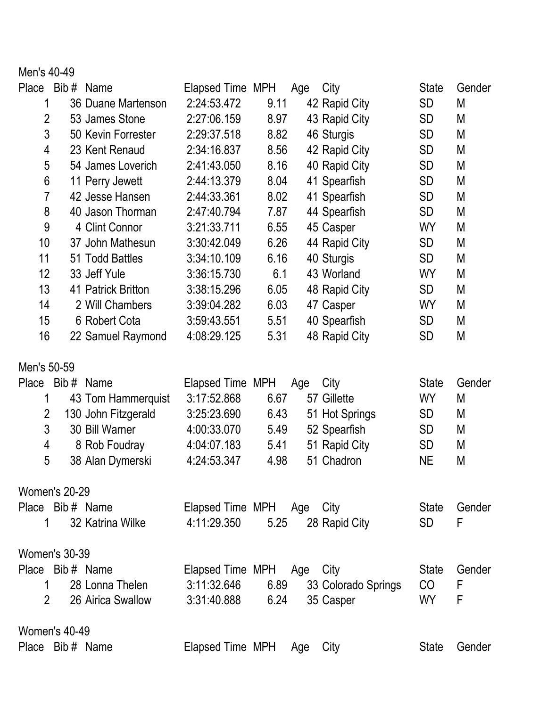Men's 40-49

| Place                | Bib# Name |                     | Elapsed Time MPH          |      | Age | City                | <b>State</b> | Gender |  |
|----------------------|-----------|---------------------|---------------------------|------|-----|---------------------|--------------|--------|--|
| 1                    |           | 36 Duane Martenson  | 2:24:53.472               | 9.11 |     | 42 Rapid City       | <b>SD</b>    | M      |  |
| $\overline{2}$       |           | 53 James Stone      | 2:27:06.159               | 8.97 |     | 43 Rapid City       | <b>SD</b>    | M      |  |
| 3                    |           | 50 Kevin Forrester  | 2:29:37.518               | 8.82 |     | 46 Sturgis          | <b>SD</b>    | M      |  |
| 4                    |           | 23 Kent Renaud      | 2:34:16.837               | 8.56 |     | 42 Rapid City       | <b>SD</b>    | M      |  |
| 5                    |           | 54 James Loverich   | 2:41:43.050               | 8.16 |     | 40 Rapid City       | <b>SD</b>    | M      |  |
| $6\phantom{1}6$      |           | 11 Perry Jewett     | 2:44:13.379               | 8.04 |     | 41 Spearfish        | <b>SD</b>    | M      |  |
| $\overline{7}$       |           | 42 Jesse Hansen     | 2:44:33.361               | 8.02 |     | 41 Spearfish        | <b>SD</b>    | M      |  |
| 8                    |           | 40 Jason Thorman    | 2:47:40.794               | 7.87 |     | 44 Spearfish        | <b>SD</b>    | M      |  |
| 9                    |           | 4 Clint Connor      | 3:21:33.711               | 6.55 |     | 45 Casper           | <b>WY</b>    | M      |  |
| 10                   |           | 37 John Mathesun    | 3:30:42.049               | 6.26 |     | 44 Rapid City       | <b>SD</b>    | M      |  |
| 11                   |           | 51 Todd Battles     | 3:34:10.109               | 6.16 |     | 40 Sturgis          | <b>SD</b>    | M      |  |
| 12                   |           | 33 Jeff Yule        | 3:36:15.730               | 6.1  |     | 43 Worland          | <b>WY</b>    | M      |  |
| 13                   |           | 41 Patrick Britton  | 3:38:15.296               | 6.05 |     | 48 Rapid City       | <b>SD</b>    | M      |  |
| 14                   |           | 2 Will Chambers     | 3:39:04.282               | 6.03 |     | 47 Casper           | <b>WY</b>    | M      |  |
| 15                   |           | 6 Robert Cota       | 3:59:43.551               | 5.51 |     | 40 Spearfish        | SD           | M      |  |
| 16                   |           | 22 Samuel Raymond   | 4:08:29.125               | 5.31 |     | 48 Rapid City       | <b>SD</b>    | M      |  |
| Men's 50-59          |           |                     |                           |      |     |                     |              |        |  |
| <b>Place</b>         | Bib#      | Name                | Elapsed Time MPH          |      | Age | City                | <b>State</b> | Gender |  |
| 1                    |           | 43 Tom Hammerquist  | 3:17:52.868               | 6.67 |     | 57 Gillette         | <b>WY</b>    | M      |  |
| 2                    |           | 130 John Fitzgerald | 3:25:23.690               | 6.43 |     | 51 Hot Springs      | <b>SD</b>    | M      |  |
| 3                    |           | 30 Bill Warner      | 4:00:33.070               | 5.49 |     | 52 Spearfish        | <b>SD</b>    | M      |  |
| 4                    |           | 8 Rob Foudray       | 4:04:07.183               | 5.41 |     | 51 Rapid City       | <b>SD</b>    | M      |  |
| 5                    |           | 38 Alan Dymerski    | 4:24:53.347               | 4.98 |     | 51 Chadron          | <b>NE</b>    | M      |  |
|                      |           |                     |                           |      |     |                     |              |        |  |
| <b>Women's 20-29</b> |           |                     |                           |      |     |                     |              |        |  |
| Place Bib # Name     |           |                     | Elapsed Time MPH Age City |      |     |                     | <b>State</b> | Gender |  |
| $\mathbf 1$          |           | 32 Katrina Wilke    | 4:11:29.350               | 5.25 |     | 28 Rapid City       | <b>SD</b>    | F      |  |
| <b>Women's 30-39</b> |           |                     |                           |      |     |                     |              |        |  |
| Place Bib# Name      |           |                     | Elapsed Time MPH Age      |      |     | City                | <b>State</b> | Gender |  |
| 1                    |           | 28 Lonna Thelen     | 3:11:32.646               | 6.89 |     | 33 Colorado Springs | CO           | F      |  |
| $\overline{2}$       |           | 26 Airica Swallow   | 3:31:40.888               | 6.24 |     | 35 Casper           | <b>WY</b>    | F      |  |
| <b>Women's 40-49</b> |           |                     |                           |      |     |                     |              |        |  |
| Place Bib# Name      |           |                     | Elapsed Time MPH          |      | Age | City                | <b>State</b> | Gender |  |
|                      |           |                     |                           |      |     |                     |              |        |  |